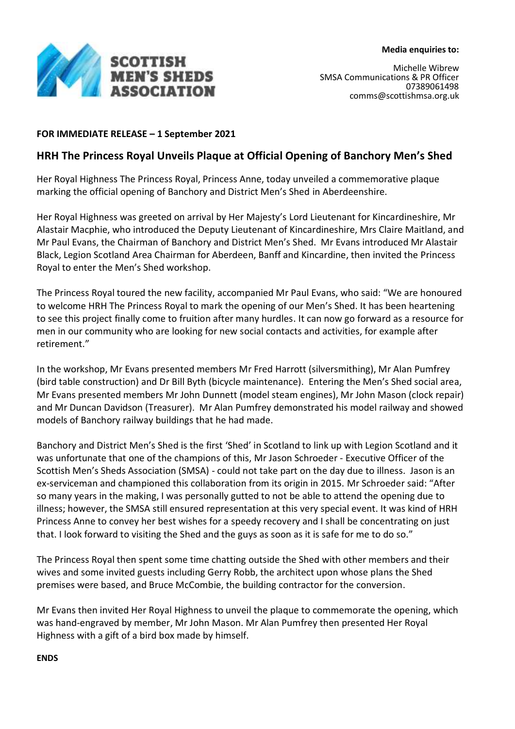

## **FOR IMMEDIATE RELEASE – 1 September 2021**

# **HRH The Princess Royal Unveils Plaque at Official Opening of Banchory Men's Shed**

Her Royal Highness The Princess Royal, Princess Anne, today unveiled a commemorative plaque marking the official opening of Banchory and District Men's Shed in Aberdeenshire.

Her Royal Highness was greeted on arrival by Her Majesty's Lord Lieutenant for Kincardineshire, Mr Alastair Macphie, who introduced the Deputy Lieutenant of Kincardineshire, Mrs Claire Maitland, and Mr Paul Evans, the Chairman of Banchory and District Men's Shed. Mr Evans introduced Mr Alastair Black, Legion Scotland Area Chairman for Aberdeen, Banff and Kincardine, then invited the Princess Royal to enter the Men's Shed workshop.

The Princess Royal toured the new facility, accompanied Mr Paul Evans, who said: "We are honoured to welcome HRH The Princess Royal to mark the opening of our Men's Shed. It has been heartening to see this project finally come to fruition after many hurdles. It can now go forward as a resource for men in our community who are looking for new social contacts and activities, for example after retirement."

In the workshop, Mr Evans presented members Mr Fred Harrott (silversmithing), Mr Alan Pumfrey (bird table construction) and Dr Bill Byth (bicycle maintenance). Entering the Men's Shed social area, Mr Evans presented members Mr John Dunnett (model steam engines), Mr John Mason (clock repair) and Mr Duncan Davidson (Treasurer). Mr Alan Pumfrey demonstrated his model railway and showed models of Banchory railway buildings that he had made.

Banchory and District Men's Shed is the first 'Shed' in Scotland to link up with Legion Scotland and it was unfortunate that one of the champions of this, Mr Jason Schroeder - Executive Officer of the Scottish Men's Sheds Association (SMSA) - could not take part on the day due to illness. Jason is an ex-serviceman and championed this collaboration from its origin in 2015. Mr Schroeder said: "After so many years in the making, I was personally gutted to not be able to attend the opening due to illness; however, the SMSA still ensured representation at this very special event. It was kind of HRH Princess Anne to convey her best wishes for a speedy recovery and I shall be concentrating on just that. I look forward to visiting the Shed and the guys as soon as it is safe for me to do so."

The Princess Royal then spent some time chatting outside the Shed with other members and their wives and some invited guests including Gerry Robb, the architect upon whose plans the Shed premises were based, and Bruce McCombie, the building contractor for the conversion.

Mr Evans then invited Her Royal Highness to unveil the plaque to commemorate the opening, which was hand-engraved by member, Mr John Mason. Mr Alan Pumfrey then presented Her Royal Highness with a gift of a bird box made by himself.

**ENDS**